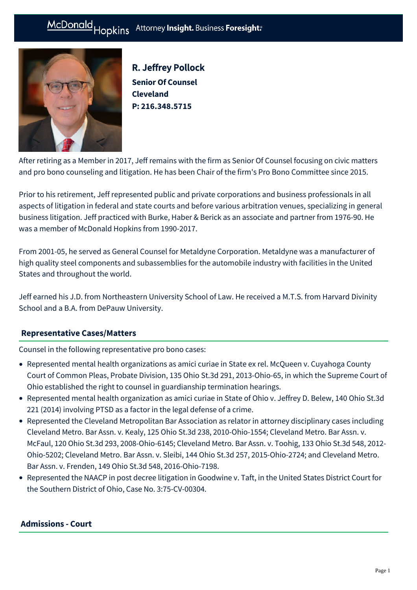#### Hopkins Attorney Insight. Business Foresight: McDonald



R. Jeffrey Pollock **Senior Of Counsel Cleveland P: [216.348.5715](tel:216.348.5715)**

After retiring as a Member in 2017, Jeff remains with the firm as Senior Of Counsel focusing on civic matters and pro bono counseling and litigation. He has been Chair of the firm's Pro Bono Committee since 2015.

Prior to his retirement, Jeff represented public and private corporations and business professionals in all aspects of litigation in federal and state courts and before various arbitration venues, specializing in general business litigation. Jeff practiced with Burke, Haber & Berick as an associate and partner from 1976-90. He was a member of McDonald Hopkins from 1990-2017.

From 2001-05, he served as General Counsel for Metaldyne Corporation. Metaldyne was a manufacturer of high quality steel components and subassemblies for the automobile industry with facilities in the United States and throughout the world.

Jeff earned his J.D. from Northeastern University School of Law. He received a M.T.S. from Harvard Divinity School and a B.A. from DePauw University.

## **[Representative Cases/Matters](#page-0-0)**

<span id="page-0-0"></span>Counsel in the following representative pro bono cases:

- Represented mental health organizations as amici curiae in State ex rel. McQueen v. Cuyahoga County Court of Common Pleas, Probate Division, 135 Ohio St.3d 291, 2013-Ohio-65, in which the Supreme Court of Ohio established the right to counsel in guardianship termination hearings.
- Represented mental health organization as amici curiae in State of Ohio v. Jeffrey D. Belew, 140 Ohio St.3d 221 (2014) involving PTSD as a factor in the legal defense of a crime.
- Represented the Cleveland Metropolitan Bar Association as relator in attorney disciplinary cases including Cleveland Metro. Bar Assn. v. Kealy, 125 Ohio St.3d 238, 2010-Ohio-1554; Cleveland Metro. Bar Assn. v. McFaul, 120 Ohio St.3d 293, 2008-Ohio-6145; Cleveland Metro. Bar Assn. v. Toohig, 133 Ohio St.3d 548, 2012- Ohio-5202; Cleveland Metro. Bar Assn. v. Sleibi, 144 Ohio St.3d 257, 2015-Ohio-2724; and Cleveland Metro. Bar Assn. v. Frenden, 149 Ohio St.3d 548, 2016-Ohio-7198.
- Represented the NAACP in post decree litigation in Goodwine v. Taft, in the United States District Court for the Southern District of Ohio, Case No. 3:75-CV-00304.

### **Admissions - Court**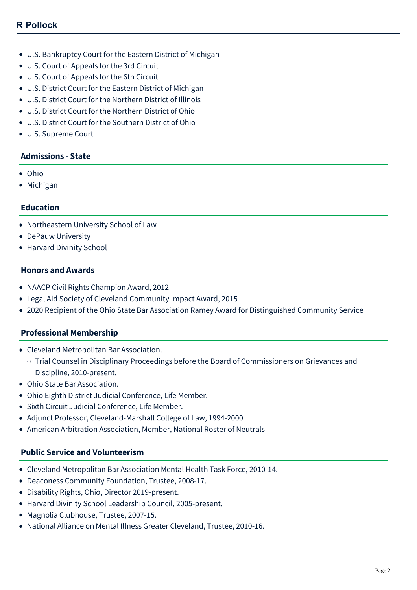- U.S. Bankruptcy Court for the Eastern District of Michigan
- U.S. Court of Appeals for the 3rd Circuit
- U.S. Court of Appeals for the 6th Circuit
- U.S. District Court for the Eastern District of Michigan
- U.S. District Court for the Northern District of Illinois
- U.S. District Court for the Northern District of Ohio
- U.S. District Court for the Southern District of Ohio
- U.S. Supreme Court

#### **Admissions - State**

- Ohio
- Michigan

#### **Education**

- Northeastern University School of Law
- DePauw University
- Harvard Divinity School

#### **Honors and Awards**

- NAACP Civil Rights Champion Award, 2012
- Legal Aid Society of Cleveland Community Impact Award, 2015
- 2020 Recipient of the Ohio State Bar Association Ramey Award for Distinguished Community Service

#### **Professional Membership**

- Cleveland Metropolitan Bar Association.
	- Trial Counsel in Disciplinary Proceedings before the Board of Commissioners on Grievances and Discipline, 2010-present.
- Ohio State Bar Association.
- Ohio Eighth District Judicial Conference, Life Member.
- Sixth Circuit Judicial Conference, Life Member.
- Adjunct Professor, Cleveland-Marshall College of Law, 1994-2000.
- American Arbitration Association, Member, National Roster of Neutrals

#### **Public Service and Volunteerism**

- Cleveland Metropolitan Bar Association Mental Health Task Force, 2010-14.
- Deaconess Community Foundation, Trustee, 2008-17.
- Disability Rights, Ohio, Director 2019-present.
- Harvard Divinity School Leadership Council, 2005-present.
- Magnolia Clubhouse, Trustee, 2007-15.
- National Alliance on Mental Illness Greater Cleveland, Trustee, 2010-16.